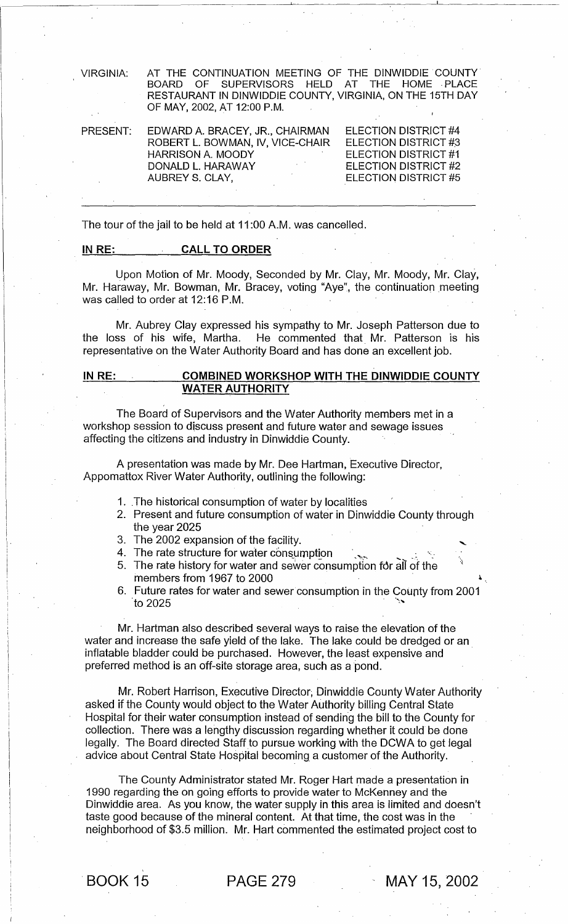VIRGINIA: AT THE CONTINUATION MEETING OF THE DINWIDDIE COUNTY BOARD OF SUPERVISORS HELD AT RESTAURANT IN DINWIDDIE COUNTY, VIRGINIA, ON THE 15TH DAY OF MAY, 2002, AT 12:00 P.M.

| PRESENT: | EDWARD A. BRACEY, JR., CHAIRMAN  | ELECTION DISTRICT #4        |
|----------|----------------------------------|-----------------------------|
|          | ROBERT L. BOWMAN, IV, VICE-CHAIR | ELECTION DISTRICT #3        |
|          | HARRISON A. MOODY                | ELECTION DISTRICT #1        |
|          | Australia<br>DONALD L. HARAWAY   | ELECTION DISTRICT #2        |
|          | AUBREY S. CLAY,                  | <b>ELECTION DISTRICT #5</b> |
|          |                                  |                             |

The tour of the jail to be held at 11 :00 A.M. was cancelled.

## IN RE: CALL TO ORDER

Upon Motion of Mr. Moody, Seconded by Mr. Clay, Mr. Moody, Mr. Clay, Mr. Haraway, Mr. Bowman, Mr. Bracey, voting "Aye", the continuation meeting was called to order at 12:16 P.M.

Mr. Aubrey Clay expressed his sympathy to Mr. Joseph Patterson due to the loss of his wife, Martha. He commented that Mr. Patterson is his representative on the Water Authority Board and has done an excellent job.

## IN RE: COMBINED WORKSHOP WITH THE DINWIDDIE COUNTY WATER AUTHORITY

The Board of Supervisors and the Water Authority members met in a workshop session to discuss present and future water and sewage issues affecting the citizens and industry in Dinwiddie County.

A presentation was made by Mr. Dee Hartman, Executive Director, Appomattox River Water Authority, outlining the following:

- 1. The historical consumption of water by localities
- 2. Present and future consumption of water in Dinwiddie County through the year 2025
- 3. The 2002 expansion of the facility.
- 4. The rate structure for water consumption
- 5. The rate history for water and sewer consumption for all of the members from 1967 to 2000
- 6. Future rates for water and sewer consumption in the County from 2001 to 2025  $\sim$

Mr. Hartman also described several ways to raise the elevation of the water and increase the safe yield of the lake. The lake could be dredged or an inflatable bladder could be purchased. However, the least expensive and . preferred method is an off-site storage area, such as a pond.

Mr. Robert Harrison, Executive Director; Dinwiddie County Water Authority asked if the County would object to the Water Authority billing Central State Hospital for their water consumption instead of sending the bill to the County for collection. There was a lengthy discussion regarding whether it could be done legally. The Board directed Staff to pursue working with the DCWA to get legal advice about Central State Hospital becoming a customer of the Authority.

The County Administrator stated Mr. Roger Hart made a presentation in 1990 regarding the on going efforts to provide water to McKenney and the Dinwiddie area. As you know, the water supply in this area is limited and doesn't taste good because of the mineral content. At that time, the cost was in the neighborhood of \$3.5 million. Mr. Hart commented the estimated project cost to

. BOOK 15 PAGE 279 MAY 15, 2002